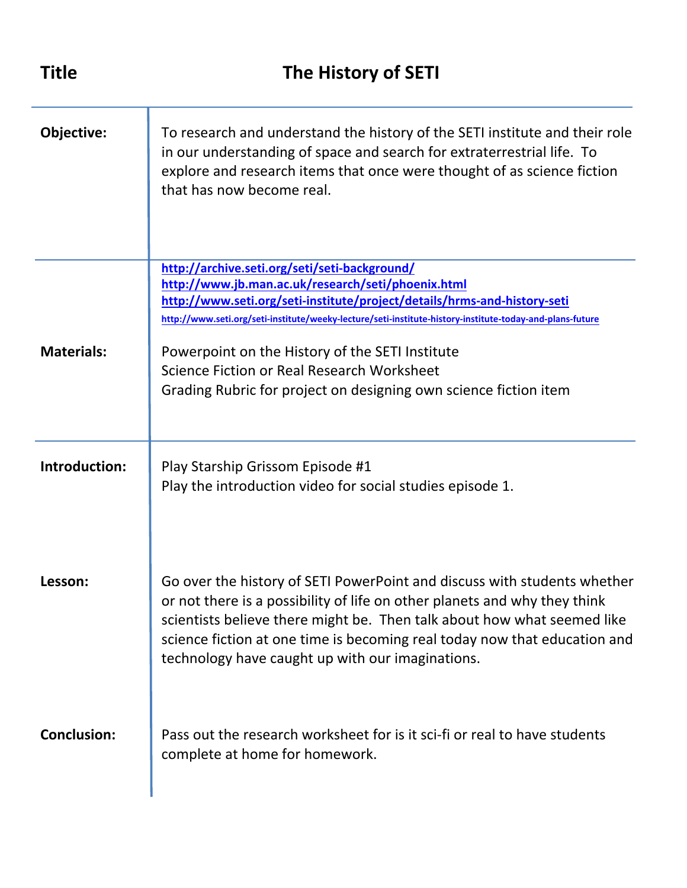| <b>Title</b>       | The History of SETI                                                                                                                                                                                                                                                                                                                                               |
|--------------------|-------------------------------------------------------------------------------------------------------------------------------------------------------------------------------------------------------------------------------------------------------------------------------------------------------------------------------------------------------------------|
| Objective:         | To research and understand the history of the SETI institute and their role<br>in our understanding of space and search for extraterrestrial life. To<br>explore and research items that once were thought of as science fiction<br>that has now become real.                                                                                                     |
|                    | http://archive.seti.org/seti/seti-background/<br>http://www.jb.man.ac.uk/research/seti/phoenix.html<br>http://www.seti.org/seti-institute/project/details/hrms-and-history-seti<br>http://www.seti.org/seti-institute/weeky-lecture/seti-institute-history-institute-today-and-plans-future                                                                       |
| <b>Materials:</b>  | Powerpoint on the History of the SETI Institute<br>Science Fiction or Real Research Worksheet<br>Grading Rubric for project on designing own science fiction item                                                                                                                                                                                                 |
| Introduction:      | Play Starship Grissom Episode #1<br>Play the introduction video for social studies episode 1.                                                                                                                                                                                                                                                                     |
| Lesson:            | Go over the history of SETI PowerPoint and discuss with students whether<br>or not there is a possibility of life on other planets and why they think<br>scientists believe there might be. Then talk about how what seemed like<br>science fiction at one time is becoming real today now that education and<br>technology have caught up with our imaginations. |
| <b>Conclusion:</b> | Pass out the research worksheet for is it sci-fi or real to have students<br>complete at home for homework.                                                                                                                                                                                                                                                       |